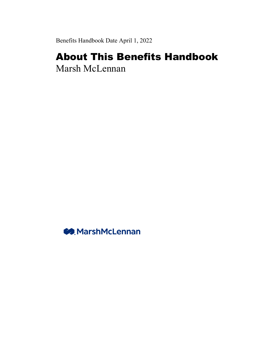Benefits Handbook Date April 1, 2022

## About This Benefits Handbook Marsh McLennan

**MarshMcLennan**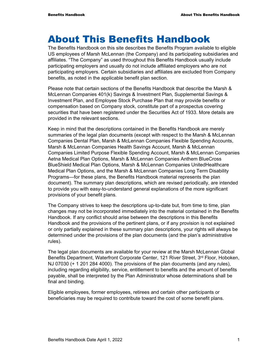## About This Benefits Handbook

The Benefits Handbook on this site describes the Benefits Program available to eligible US employees of Marsh McLennan (the Company) and its participating subsidiaries and affiliates. "The Company" as used throughout this Benefits Handbook usually include participating employers and usually do not include affiliated employers who are not participating employers. Certain subsidiaries and affiliates are excluded from Company benefits, as noted in the applicable benefit plan section.

Please note that certain sections of the Benefits Handbook that describe the Marsh & McLennan Companies 401(k) Savings & Investment Plan, Supplemental Savings & Investment Plan, and Employee Stock Purchase Plan that may provide benefits or compensation based on Company stock, constitute part of a prospectus covering securities that have been registered under the Securities Act of 1933. More details are provided in the relevant sections.

Keep in mind that the descriptions contained in the Benefits Handbook are merely summaries of the legal plan documents (except with respect to the Marsh & McLennan Companies Dental Plan, Marsh & McLennan Companies Flexible Spending Accounts, Marsh & McLennan Companies Health Savings Account, Marsh & McLennan Companies Limited Purpose Flexible Spending Account, Marsh & McLennan Companies Aetna Medical Plan Options, Marsh & McLennan Companies Anthem BlueCross BlueShield Medical Plan Options, Marsh & McLennan Companies UnitedHealthcare Medical Plan Options, and the Marsh & McLennan Companies Long Term Disability Programs—for these plans, the Benefits Handbook material represents the plan document). The summary plan descriptions, which are revised periodically, are intended to provide you with easy-to-understand general explanations of the more significant provisions of your benefit plans.

The Company strives to keep the descriptions up-to-date but, from time to time, plan changes may not be incorporated immediately into the material contained in the Benefits Handbook. If any conflict should arise between the descriptions in this Benefits Handbook and the provisions of the pertinent plans, or if any provision is not explained or only partially explained in these summary plan descriptions, your rights will always be determined under the provisions of the plan documents (and the plan's administrative rules).

The legal plan documents are available for your review at the Marsh McLennan Global Benefits Department, Waterfront Corporate Center, 121 River Street, 3<sup>rd</sup> Floor, Hoboken, NJ 07030 (+ 1 201 284 4000). The provisions of the plan documents (and any rules), including regarding eligibility, service, entitlement to benefits and the amount of benefits payable, shall be interpreted by the Plan Administrator whose determinations shall be final and binding.

Eligible employees, former employees, retirees and certain other participants or beneficiaries may be required to contribute toward the cost of some benefit plans.